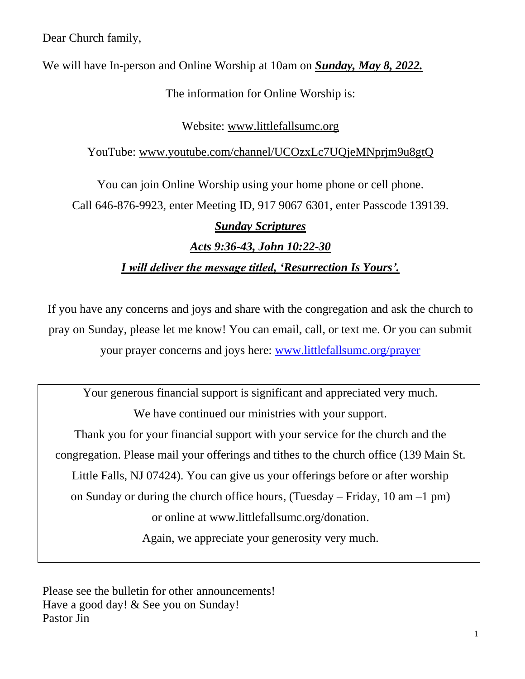Dear Church family,

We will have In-person and Online Worship at 10am on *Sunday, May 8, 2022.*

The information for Online Worship is:

# Website: www.littlefallsumc.org

# YouTube: www.youtube.com/channel/UCOzxLc7UQjeMNprjm9u8gtQ

You can join Online Worship using your home phone or cell phone. Call 646-876-9923, enter Meeting ID, 917 9067 6301, enter Passcode 139139.

# *Sunday Scriptures*

# *Acts 9:36-43, John 10:22-30*

# *I will deliver the message titled, 'Resurrection Is Yours'.*

If you have any concerns and joys and share with the congregation and ask the church to pray on Sunday, please let me know! You can email, call, or text me. Or you can submit your prayer concerns and joys here: [www.littlefallsumc.org/prayer](http://www.littlefallsumc.org/prayer)

Your generous financial support is significant and appreciated very much. We have continued our ministries with your support. Thank you for your financial support with your service for the church and the congregation. Please mail your offerings and tithes to the church office (139 Main St. Little Falls, NJ 07424). You can give us your offerings before or after worship on Sunday or during the church office hours, (Tuesday – Friday, 10 am –1 pm) or online at www.littlefallsumc.org/donation. Again, we appreciate your generosity very much.

Please see the bulletin for other announcements! Have a good day! & See you on Sunday! Pastor Jin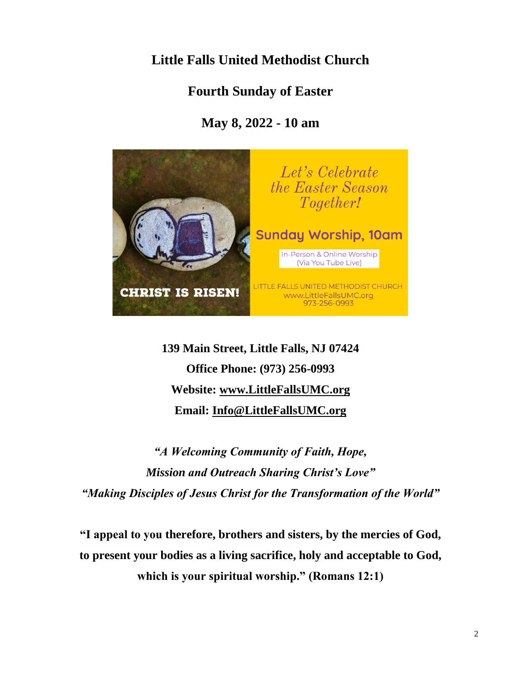# **Little Falls United Methodist Church**

# **Fourth Sunday of Easter**

# **May 8, 2022 - 10 am**



**139 Main Street, Little Falls, NJ 07424 Office Phone: (973) 256-0993 Website: [www.LittleFallsUMC.org](http://www.littlefallsumc.org/) Email: [Info@LittleFallsUMC.org](mailto:Info@LittleFallsUMC.org)**

*"A Welcoming Community of Faith, Hope, Mission and Outreach Sharing Christ's Love" "Making Disciples of Jesus Christ for the Transformation of the World"*

**"I appeal to you therefore, brothers and sisters, by the mercies of God, to present your bodies as a living sacrifice, holy and acceptable to God, which is your spiritual worship." (Romans 12:1)**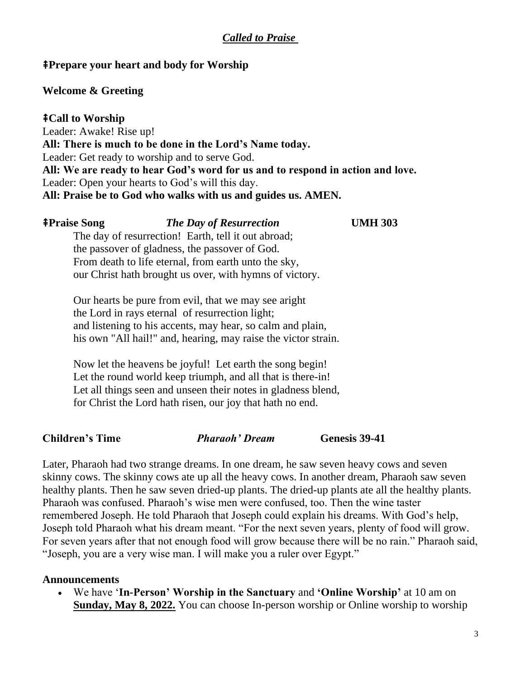# *Called to Praise*

## ⭻**Prepare your heart and body for Worship**

### **Welcome & Greeting**

### ⭻**Call to Worship**

Leader: Awake! Rise up! **All: There is much to be done in the Lord's Name today.** Leader: Get ready to worship and to serve God. **All: We are ready to hear God's word for us and to respond in action and love.** Leader: Open your hearts to God's will this day. **All: Praise be to God who walks with us and guides us. AMEN.**

### ⭻**Praise Song** *The Day of Resurrection* **UMH 303**

The day of resurrection! Earth, tell it out abroad; the passover of gladness, the passover of God. From death to life eternal, from earth unto the sky, our Christ hath brought us over, with hymns of victory.

Our hearts be pure from evil, that we may see aright the Lord in rays eternal of resurrection light; and listening to his accents, may hear, so calm and plain, his own "All hail!" and, hearing, may raise the victor strain.

Now let the heavens be joyful! Let earth the song begin! Let the round world keep triumph, and all that is there-in! Let all things seen and unseen their notes in gladness blend, for Christ the Lord hath risen, our joy that hath no end.

## **Children's Time** *Pharaoh' Dream* **Genesis 39-41**

Later, Pharaoh had two strange dreams. In one dream, he saw seven heavy cows and seven skinny cows. The skinny cows ate up all the heavy cows. In another dream, Pharaoh saw seven healthy plants. Then he saw seven dried-up plants. The dried-up plants ate all the healthy plants. Pharaoh was confused. Pharaoh's wise men were confused, too. Then the wine taster remembered Joseph. He told Pharaoh that Joseph could explain his dreams. With God's help, Joseph told Pharaoh what his dream meant. "For the next seven years, plenty of food will grow. For seven years after that not enough food will grow because there will be no rain." Pharaoh said, "Joseph, you are a very wise man. I will make you a ruler over Egypt."

### **Announcements**

• We have '**In-Person' Worship in the Sanctuary** and **'Online Worship'** at 10 am on **Sunday, May 8, 2022.** You can choose In-person worship or Online worship to worship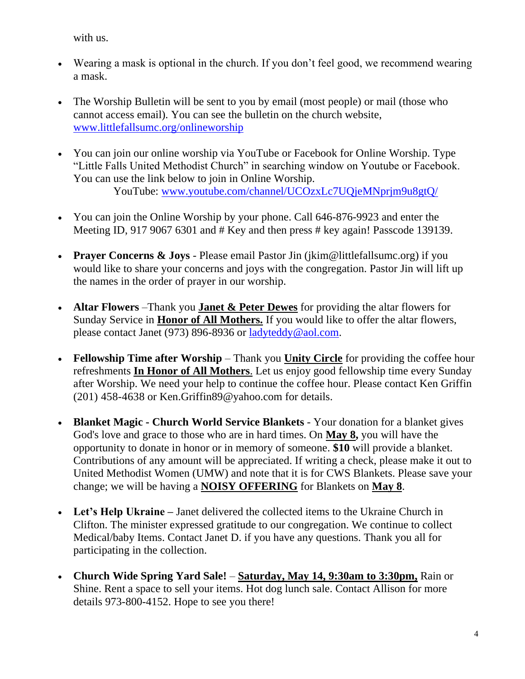with us.

- Wearing a mask is optional in the church. If you don't feel good, we recommend wearing a mask.
- The Worship Bulletin will be sent to you by email (most people) or mail (those who cannot access email). You can see the bulletin on the church website, [www.littlefallsumc.org/onlineworship](http://www.littlefallsumc.org/onlineworship)
- You can join our online worship via YouTube or Facebook for Online Worship. Type "Little Falls United Methodist Church" in searching window on Youtube or Facebook. You can use the link below to join in Online Worship. YouTube: [www.youtube.com/channel/UCOzxLc7UQjeMNprjm9u8gtQ/](http://www.youtube.com/channel/UCOzxLc7UQjeMNprjm9u8gtQ/)
- You can join the Online Worship by your phone. Call 646-876-9923 and enter the Meeting ID, 917 9067 6301 and # Key and then press # key again! Passcode 139139.
- **Prayer Concerns & Joys** Please email Pastor Jin (jkim@littlefallsumc.org) if you would like to share your concerns and joys with the congregation. Pastor Jin will lift up the names in the order of prayer in our worship.
- **Altar Flowers** –Thank you **Janet & Peter Dewes** for providing the altar flowers for Sunday Service in **Honor of All Mothers.** If you would like to offer the altar flowers, please contact Janet (973) 896-8936 or [ladyteddy@aol.com.](mailto:ladyteddy@aol.com)
- **Fellowship Time after Worship** Thank you **Unity Circle** for providing the coffee hour refreshments **In Honor of All Mothers**. Let us enjoy good fellowship time every Sunday after Worship. We need your help to continue the coffee hour. Please contact Ken Griffin [\(201\) 458-4638](tel:+12014584638) or Ken.Griffin89@yahoo.com for details.
- **Blanket Magic - Church World Service Blankets** Your donation for a blanket gives God's love and grace to those who are in hard times. On **May 8,** you will have the opportunity to donate in honor or in memory of someone. **\$10** will provide a blanket. Contributions of any amount will be appreciated. If writing a check, please make it out to United Methodist Women (UMW) and note that it is for CWS Blankets. Please save your change; we will be having a **NOISY OFFERING** for Blankets on **May 8**.
- **Let's Help Ukraine –** Janet delivered the collected items to the Ukraine Church in Clifton. The minister expressed gratitude to our congregation. We continue to collect Medical/baby Items. Contact Janet D. if you have any questions. Thank you all for participating in the collection.
- **Church Wide Spring Yard Sale! Saturday, May 14, 9:30am to 3:30pm,** Rain or Shine. Rent a space to sell your items. Hot dog lunch sale. Contact Allison for more details 973-800-4152. Hope to see you there!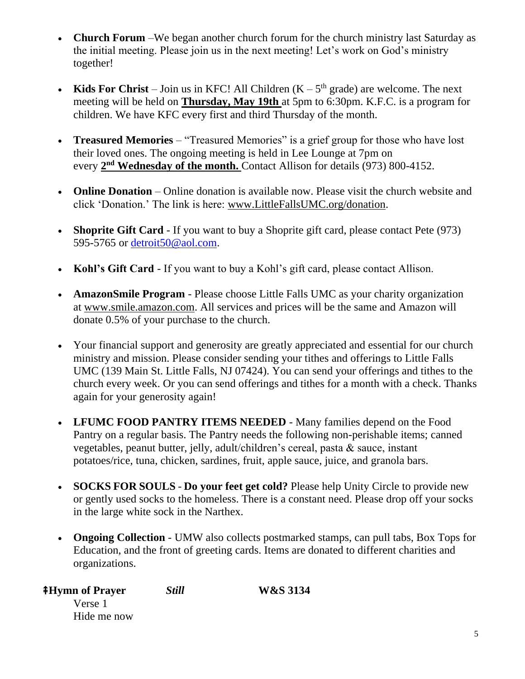- **Church Forum** We began another church forum for the church ministry last Saturday as the initial meeting. Please join us in the next meeting! Let's work on God's ministry together!
- **Kids For Christ** Join us in KFC! All Children  $(K 5<sup>th</sup>$  grade) are welcome. The next meeting will be held on **Thursday, May 19th** at 5pm to 6:30pm. K.F.C. is a program for children. We have KFC every first and third Thursday of the month.
- **Treasured Memories** "Treasured Memories" is a grief group for those who have lost their loved ones. The ongoing meeting is held in Lee Lounge at 7pm on every 2<sup>nd</sup> Wednesday of the month. Contact Allison for details (973) 800-4152.
- **Online Donation** Online donation is available now. Please visit the church website and click 'Donation.' The link is here: [www.LittleFallsUMC.org/donation.](http://www.littlefallsumc.org/donation)
- **Shoprite Gift Card** If you want to buy a Shoprite gift card, please contact Pete (973) 595-5765 or [detroit50@aol.com.](mailto:detroit50@aol.com)
- **Kohl's Gift Card** If you want to buy a Kohl's gift card, please contact Allison.
- **AmazonSmile Program** Please choose Little Falls UMC as your charity organization at www.smile.amazon.com. All services and prices will be the same and Amazon will donate 0.5% of your purchase to the church.
- Your financial support and generosity are greatly appreciated and essential for our church ministry and mission. Please consider sending your tithes and offerings to Little Falls UMC (139 Main St. Little Falls, NJ 07424). You can send your offerings and tithes to the church every week. Or you can send offerings and tithes for a month with a check. Thanks again for your generosity again!
- **LFUMC FOOD PANTRY ITEMS NEEDED** Many families depend on the Food Pantry on a regular basis. The Pantry needs the following non-perishable items; canned vegetables, peanut butter, jelly, adult/children's cereal, pasta & sauce, instant potatoes/rice, tuna, chicken, sardines, fruit, apple sauce, juice, and granola bars.
- **SOCKS FOR SOULS Do your feet get cold?** Please help Unity Circle to provide new or gently used socks to the homeless. There is a constant need. Please drop off your socks in the large white sock in the Narthex.
- **Ongoing Collection** UMW also collects postmarked stamps, can pull tabs, Box Tops for Education, and the front of greeting cards. Items are donated to different charities and organizations.

| <b>‡Hymn of Prayer</b> | <b>Still</b> | <b>W&amp;S</b> 3134 |
|------------------------|--------------|---------------------|
| Verse 1                |              |                     |
| Hide me now            |              |                     |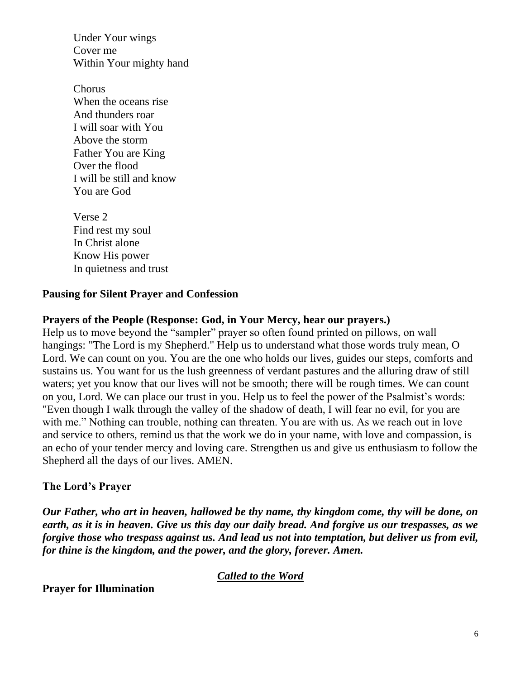Under Your wings Cover me Within Your mighty hand

Chorus When the oceans rise And thunders roar I will soar with You Above the storm Father You are King Over the flood I will be still and know You are God

Verse 2 Find rest my soul In Christ alone Know His power In quietness and trust

## **Pausing for Silent Prayer and Confession**

## **Prayers of the People (Response: God, in Your Mercy, hear our prayers.)**

Help us to move beyond the "sampler" prayer so often found printed on pillows, on wall hangings: "The Lord is my Shepherd." Help us to understand what those words truly mean, O Lord. We can count on you. You are the one who holds our lives, guides our steps, comforts and sustains us. You want for us the lush greenness of verdant pastures and the alluring draw of still waters; yet you know that our lives will not be smooth; there will be rough times. We can count on you, Lord. We can place our trust in you. Help us to feel the power of the Psalmist's words: "Even though I walk through the valley of the shadow of death, I will fear no evil, for you are with me." Nothing can trouble, nothing can threaten. You are with us. As we reach out in love and service to others, remind us that the work we do in your name, with love and compassion, is an echo of your tender mercy and loving care. Strengthen us and give us enthusiasm to follow the Shepherd all the days of our lives. AMEN.

## **The Lord's Prayer**

*Our Father, who art in heaven, hallowed be thy name, thy kingdom come, thy will be done, on earth, as it is in heaven. Give us this day our daily bread. And forgive us our trespasses, as we forgive those who trespass against us. And lead us not into temptation, but deliver us from evil, for thine is the kingdom, and the power, and the glory, forever. Amen.*

## *Called to the Word*

**Prayer for Illumination**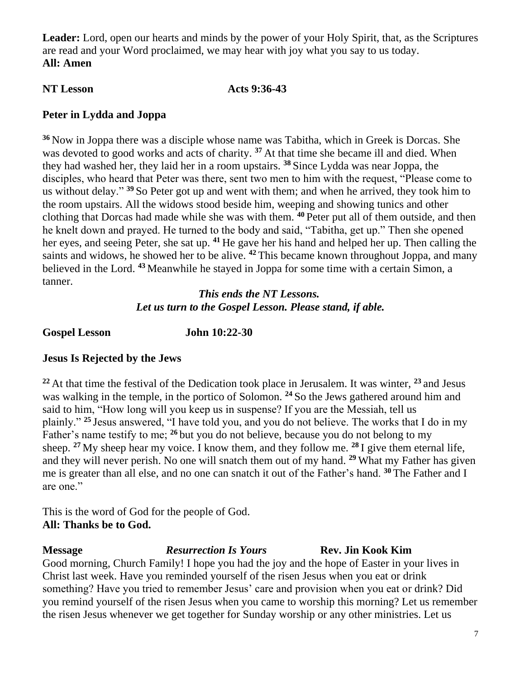**Leader:** Lord, open our hearts and minds by the power of your Holy Spirit, that, as the Scriptures are read and your Word proclaimed, we may hear with joy what you say to us today. **All: Amen**

### **NT Lesson Acts 9:36-43**

## **Peter in Lydda and Joppa**

**<sup>36</sup>** Now in Joppa there was a disciple whose name was Tabitha, which in Greek is Dorcas. She was devoted to good works and acts of charity.<sup>37</sup> At that time she became ill and died. When they had washed her, they laid her in a room upstairs. **<sup>38</sup>** Since Lydda was near Joppa, the disciples, who heard that Peter was there, sent two men to him with the request, "Please come to us without delay." **<sup>39</sup>** So Peter got up and went with them; and when he arrived, they took him to the room upstairs. All the widows stood beside him, weeping and showing tunics and other clothing that Dorcas had made while she was with them. **<sup>40</sup>** Peter put all of them outside, and then he knelt down and prayed. He turned to the body and said, "Tabitha, get up." Then she opened her eyes, and seeing Peter, she sat up. **<sup>41</sup>** He gave her his hand and helped her up. Then calling the saints and widows, he showed her to be alive. **<sup>42</sup>** This became known throughout Joppa, and many believed in the Lord. **<sup>43</sup>** Meanwhile he stayed in Joppa for some time with a certain Simon, a tanner.

## *This ends the NT Lessons. Let us turn to the Gospel Lesson. Please stand, if able.*

**Gospel Lesson John 10:22-30**

# **Jesus Is Rejected by the Jews**

**<sup>22</sup>** At that time the festival of the Dedication took place in Jerusalem. It was winter, **<sup>23</sup>** and Jesus was walking in the temple, in the portico of Solomon. **<sup>24</sup>** So the Jews gathered around him and said to him, "How long will you keep us in suspense? If you are the Messiah, tell us plainly." **<sup>25</sup>** Jesus answered, "I have told you, and you do not believe. The works that I do in my Father's name testify to me; **<sup>26</sup>** but you do not believe, because you do not belong to my sheep. **<sup>27</sup>** My sheep hear my voice. I know them, and they follow me. **<sup>28</sup>** I give them eternal life, and they will never perish. No one will snatch them out of my hand. **<sup>29</sup>** What my Father has given me is greater than all else, and no one can snatch it out of the Father's hand. **<sup>30</sup>** The Father and I are one."

This is the word of God for the people of God. **All: Thanks be to God.**

**Message** *Resurrection Is Yours* **Rev. Jin Kook Kim** Good morning, Church Family! I hope you had the joy and the hope of Easter in your lives in Christ last week. Have you reminded yourself of the risen Jesus when you eat or drink something? Have you tried to remember Jesus' care and provision when you eat or drink? Did you remind yourself of the risen Jesus when you came to worship this morning? Let us remember the risen Jesus whenever we get together for Sunday worship or any other ministries. Let us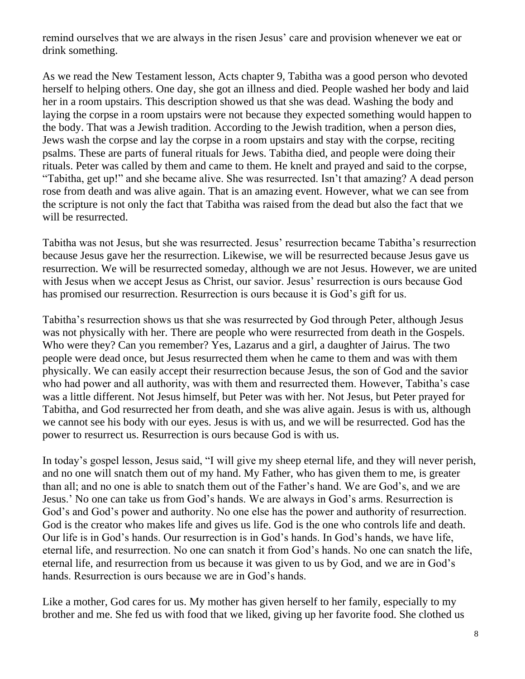remind ourselves that we are always in the risen Jesus' care and provision whenever we eat or drink something.

As we read the New Testament lesson, Acts chapter 9, Tabitha was a good person who devoted herself to helping others. One day, she got an illness and died. People washed her body and laid her in a room upstairs. This description showed us that she was dead. Washing the body and laying the corpse in a room upstairs were not because they expected something would happen to the body. That was a Jewish tradition. According to the Jewish tradition, when a person dies, Jews wash the corpse and lay the corpse in a room upstairs and stay with the corpse, reciting psalms. These are parts of funeral rituals for Jews. Tabitha died, and people were doing their rituals. Peter was called by them and came to them. He knelt and prayed and said to the corpse, "Tabitha, get up!" and she became alive. She was resurrected. Isn't that amazing? A dead person rose from death and was alive again. That is an amazing event. However, what we can see from the scripture is not only the fact that Tabitha was raised from the dead but also the fact that we will be resurrected.

Tabitha was not Jesus, but she was resurrected. Jesus' resurrection became Tabitha's resurrection because Jesus gave her the resurrection. Likewise, we will be resurrected because Jesus gave us resurrection. We will be resurrected someday, although we are not Jesus. However, we are united with Jesus when we accept Jesus as Christ, our savior. Jesus' resurrection is ours because God has promised our resurrection. Resurrection is ours because it is God's gift for us.

Tabitha's resurrection shows us that she was resurrected by God through Peter, although Jesus was not physically with her. There are people who were resurrected from death in the Gospels. Who were they? Can you remember? Yes, Lazarus and a girl, a daughter of Jairus. The two people were dead once, but Jesus resurrected them when he came to them and was with them physically. We can easily accept their resurrection because Jesus, the son of God and the savior who had power and all authority, was with them and resurrected them. However, Tabitha's case was a little different. Not Jesus himself, but Peter was with her. Not Jesus, but Peter prayed for Tabitha, and God resurrected her from death, and she was alive again. Jesus is with us, although we cannot see his body with our eyes. Jesus is with us, and we will be resurrected. God has the power to resurrect us. Resurrection is ours because God is with us.

In today's gospel lesson, Jesus said, "I will give my sheep eternal life, and they will never perish, and no one will snatch them out of my hand. My Father, who has given them to me, is greater than all; and no one is able to snatch them out of the Father's hand. We are God's, and we are Jesus.' No one can take us from God's hands. We are always in God's arms. Resurrection is God's and God's power and authority. No one else has the power and authority of resurrection. God is the creator who makes life and gives us life. God is the one who controls life and death. Our life is in God's hands. Our resurrection is in God's hands. In God's hands, we have life, eternal life, and resurrection. No one can snatch it from God's hands. No one can snatch the life, eternal life, and resurrection from us because it was given to us by God, and we are in God's hands. Resurrection is ours because we are in God's hands.

Like a mother, God cares for us. My mother has given herself to her family, especially to my brother and me. She fed us with food that we liked, giving up her favorite food. She clothed us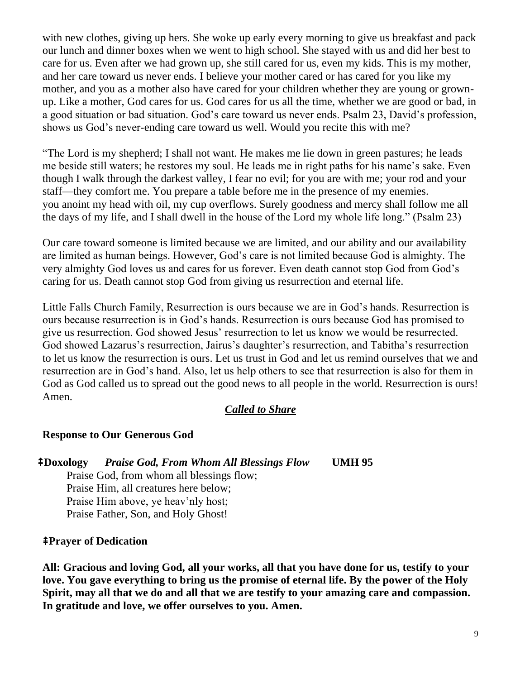with new clothes, giving up hers. She woke up early every morning to give us breakfast and pack our lunch and dinner boxes when we went to high school. She stayed with us and did her best to care for us. Even after we had grown up, she still cared for us, even my kids. This is my mother, and her care toward us never ends. I believe your mother cared or has cared for you like my mother, and you as a mother also have cared for your children whether they are young or grownup. Like a mother, God cares for us. God cares for us all the time, whether we are good or bad, in a good situation or bad situation. God's care toward us never ends. Psalm 23, David's profession, shows us God's never-ending care toward us well. Would you recite this with me?

"The Lord is my shepherd; I shall not want. He makes me lie down in green pastures; he leads me beside still waters; he restores my soul. He leads me in right paths for his name's sake. Even though I walk through the darkest valley, I fear no evil; for you are with me; your rod and your staff—they comfort me. You prepare a table before me in the presence of my enemies. you anoint my head with oil, my cup overflows. Surely goodness and mercy shall follow me all the days of my life, and I shall dwell in the house of the Lord my whole life long." (Psalm 23)

Our care toward someone is limited because we are limited, and our ability and our availability are limited as human beings. However, God's care is not limited because God is almighty. The very almighty God loves us and cares for us forever. Even death cannot stop God from God's caring for us. Death cannot stop God from giving us resurrection and eternal life.

Little Falls Church Family, Resurrection is ours because we are in God's hands. Resurrection is ours because resurrection is in God's hands. Resurrection is ours because God has promised to give us resurrection. God showed Jesus' resurrection to let us know we would be resurrected. God showed Lazarus's resurrection, Jairus's daughter's resurrection, and Tabitha's resurrection to let us know the resurrection is ours. Let us trust in God and let us remind ourselves that we and resurrection are in God's hand. Also, let us help others to see that resurrection is also for them in God as God called us to spread out the good news to all people in the world. Resurrection is ours! Amen.

## *Called to Share*

## **Response to Our Generous God**

⭻**Doxology** *Praise God, From Whom All Blessings Flow* **UMH 95** Praise God, from whom all blessings flow;

Praise Him, all creatures here below; Praise Him above, ye heav'nly host; Praise Father, Son, and Holy Ghost!

### ⭻**Prayer of Dedication**

**All: Gracious and loving God, all your works, all that you have done for us, testify to your love. You gave everything to bring us the promise of eternal life. By the power of the Holy Spirit, may all that we do and all that we are testify to your amazing care and compassion. In gratitude and love, we offer ourselves to you. Amen.**